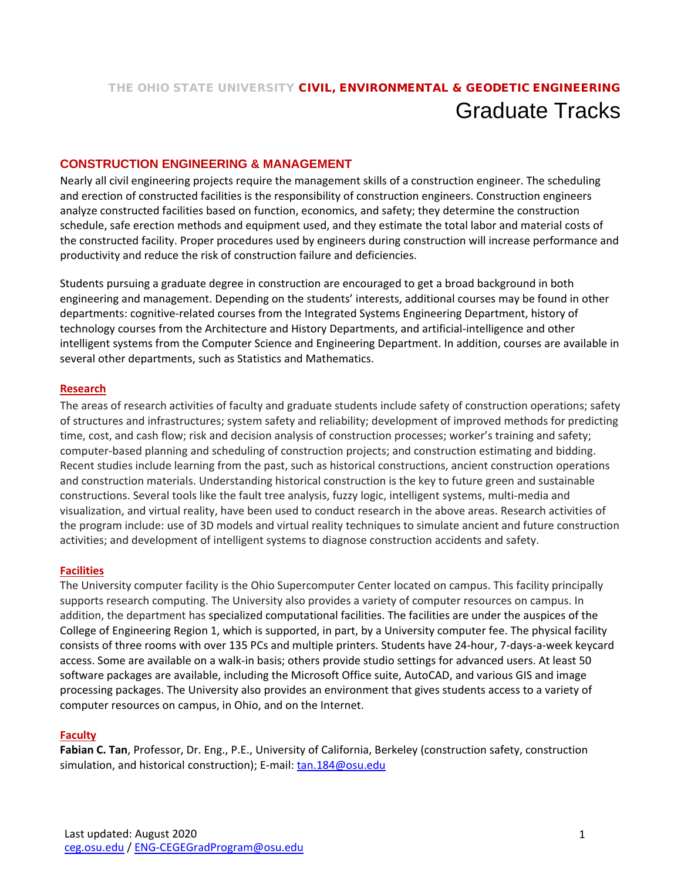# THE OHIO STATE UNIVERSITY CIVIL, ENVIRONMENTAL & GEODETIC ENGINEERING Graduate Tracks

## **CONSTRUCTION ENGINEERING & MANAGEMENT**

Nearly all civil engineering projects require the management skills of a construction engineer. The scheduling and erection of constructed facilities is the responsibility of construction engineers. Construction engineers analyze constructed facilities based on function, economics, and safety; they determine the construction schedule, safe erection methods and equipment used, and they estimate the total labor and material costs of the constructed facility. Proper procedures used by engineers during construction will increase performance and productivity and reduce the risk of construction failure and deficiencies.

Students pursuing a graduate degree in construction are encouraged to get a broad background in both engineering and management. Depending on the students' interests, additional courses may be found in other departments: cognitive-related courses from the Integrated Systems Engineering Department, history of technology courses from the Architecture and History Departments, and artificial-intelligence and other intelligent systems from the Computer Science and Engineering Department. In addition, courses are available in several other departments, such as Statistics and Mathematics.

#### **Research**

The areas of research activities of faculty and graduate students include safety of construction operations; safety of structures and infrastructures; system safety and reliability; development of improved methods for predicting time, cost, and cash flow; risk and decision analysis of construction processes; worker's training and safety; computer-based planning and scheduling of construction projects; and construction estimating and bidding. Recent studies include learning from the past, such as historical constructions, ancient construction operations and construction materials. Understanding historical construction is the key to future green and sustainable constructions. Several tools like the fault tree analysis, fuzzy logic, intelligent systems, multi-media and visualization, and virtual reality, have been used to conduct research in the above areas. Research activities of the program include: use of 3D models and virtual reality techniques to simulate ancient and future construction activities; and development of intelligent systems to diagnose construction accidents and safety.

#### **Facilities**

The University computer facility is the Ohio Supercomputer Center located on campus. This facility principally supports research computing. The University also provides a variety of computer resources on campus. In addition, the department has specialized computational facilities. The facilities are under the auspices of the College of Engineering Region 1, which is supported, in part, by a University computer fee. The physical facility consists of three rooms with over 135 PCs and multiple printers. Students have 24-hour, 7-days-a-week keycard access. Some are available on a walk-in basis; others provide studio settings for advanced users. At least 50 software packages are available, including the Microsoft Office suite, AutoCAD, and various GIS and image processing packages. The University also provides an environment that gives students access to a variety of computer resources on campus, in Ohio, and on the Internet.

#### **Faculty**

**Fabian C. Tan**, Professor, Dr. Eng., P.E., University of California, Berkeley (construction safety, construction simulation, and historical construction); E-mail: [tan.184@osu.edu](mailto:tan.184@osu.edu)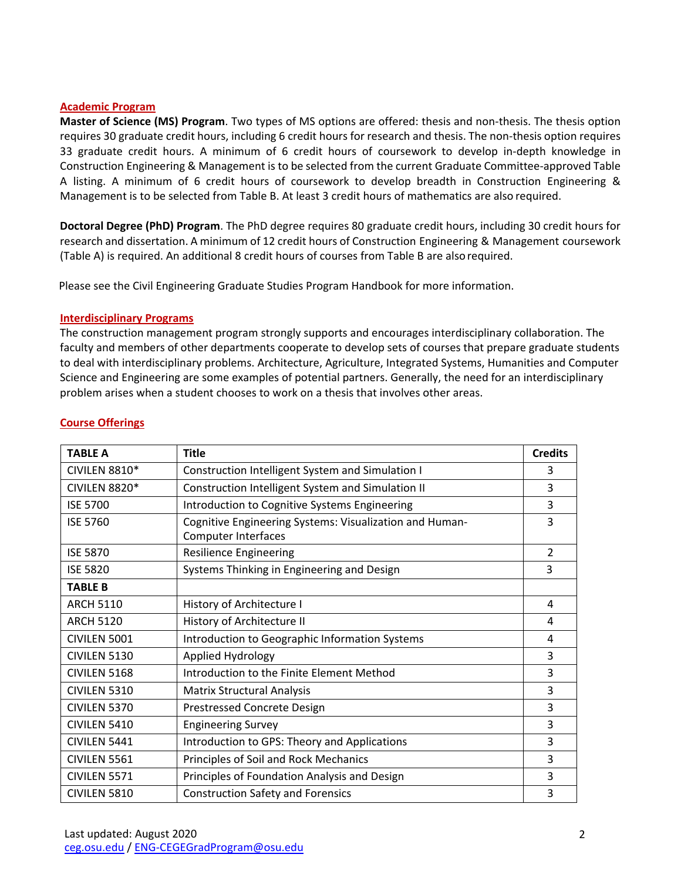#### **Academic Program**

**Master of Science (MS) Program**. Two types of MS options are offered: thesis and non-thesis. The thesis option requires 30 graduate credit hours, including 6 credit hours for research and thesis. The non-thesis option requires 33 graduate credit hours. A minimum of 6 credit hours of coursework to develop in-depth knowledge in Construction Engineering & Management is to be selected from the current Graduate Committee-approved Table A listing. A minimum of 6 credit hours of coursework to develop breadth in Construction Engineering & Management is to be selected from Table B. At least 3 credit hours of mathematics are also required.

**Doctoral Degree (PhD) Program**. The PhD degree requires 80 graduate credit hours, including 30 credit hours for research and dissertation. A minimum of 12 credit hours of Construction Engineering & Management coursework (Table A) is required. An additional 8 credit hours of courses from Table B are alsorequired.

Please see the Civil Engineering Graduate Studies Program Handbook for more information.

#### **Interdisciplinary Programs**

The construction management program strongly supports and encourages interdisciplinary collaboration. The faculty and members of other departments cooperate to develop sets of courses that prepare graduate students to deal with interdisciplinary problems. Architecture, Agriculture, Integrated Systems, Humanities and Computer Science and Engineering are some examples of potential partners. Generally, the need for an interdisciplinary problem arises when a student chooses to work on a thesis that involves other areas.

| <b>TABLE A</b>   | <b>Title</b>                                                                          | <b>Credits</b> |
|------------------|---------------------------------------------------------------------------------------|----------------|
| CIVILEN 8810*    | Construction Intelligent System and Simulation I                                      | 3              |
| CIVILEN 8820*    | Construction Intelligent System and Simulation II                                     | 3              |
| <b>ISE 5700</b>  | Introduction to Cognitive Systems Engineering                                         | 3              |
| <b>ISE 5760</b>  | Cognitive Engineering Systems: Visualization and Human-<br><b>Computer Interfaces</b> | 3              |
| <b>ISE 5870</b>  | <b>Resilience Engineering</b>                                                         | $\overline{2}$ |
| <b>ISE 5820</b>  | Systems Thinking in Engineering and Design                                            | 3              |
| <b>TABLE B</b>   |                                                                                       |                |
| <b>ARCH 5110</b> | History of Architecture I                                                             | 4              |
| <b>ARCH 5120</b> | History of Architecture II                                                            | 4              |
| CIVILEN 5001     | Introduction to Geographic Information Systems                                        | 4              |
| CIVILEN 5130     | Applied Hydrology                                                                     | 3              |
| CIVILEN 5168     | Introduction to the Finite Element Method                                             | 3              |
| CIVILEN 5310     | <b>Matrix Structural Analysis</b>                                                     | 3              |
| CIVILEN 5370     | Prestressed Concrete Design                                                           | 3              |
| CIVILEN 5410     | <b>Engineering Survey</b>                                                             | 3              |
| CIVILEN 5441     | Introduction to GPS: Theory and Applications                                          | 3              |
| CIVILEN 5561     | Principles of Soil and Rock Mechanics                                                 | 3              |
| CIVILEN 5571     | Principles of Foundation Analysis and Design                                          | 3              |
| CIVILEN 5810     | <b>Construction Safety and Forensics</b>                                              | 3              |

### **Course Offerings**